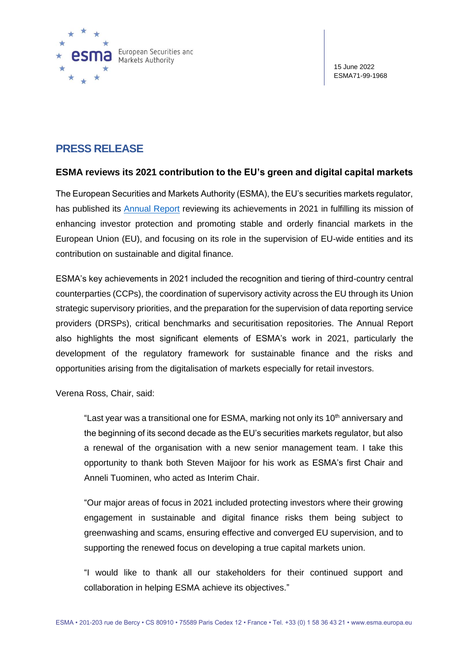

# **PRESS RELEASE**

### **ESMA reviews its 2021 contribution to the EU's green and digital capital markets**

The European Securities and Markets Authority (ESMA), the EU's securities markets regulator, has published its [Annual Report](https://www.esma.europa.eu/sites/default/files/library/esma22-439-962_2021_annual_report.pdf) reviewing its achievements in 2021 in fulfilling its mission of enhancing investor protection and promoting stable and orderly financial markets in the European Union (EU), and focusing on its role in the supervision of EU-wide entities and its contribution on sustainable and digital finance.

ESMA's key achievements in 2021 included the recognition and tiering of third-country central counterparties (CCPs), the coordination of supervisory activity across the EU through its Union strategic supervisory priorities, and the preparation for the supervision of data reporting service providers (DRSPs), critical benchmarks and securitisation repositories. The Annual Report also highlights the most significant elements of ESMA's work in 2021, particularly the development of the regulatory framework for sustainable finance and the risks and opportunities arising from the digitalisation of markets especially for retail investors.

Verena Ross, Chair, said:

"Last year was a transitional one for ESMA, marking not only its 10<sup>th</sup> anniversary and the beginning of its second decade as the EU's securities markets regulator, but also a renewal of the organisation with a new senior management team. I take this opportunity to thank both Steven Maijoor for his work as ESMA's first Chair and Anneli Tuominen, who acted as Interim Chair.

"Our major areas of focus in 2021 included protecting investors where their growing engagement in sustainable and digital finance risks them being subject to greenwashing and scams, ensuring effective and converged EU supervision, and to supporting the renewed focus on developing a true capital markets union.

"I would like to thank all our stakeholders for their continued support and collaboration in helping ESMA achieve its objectives."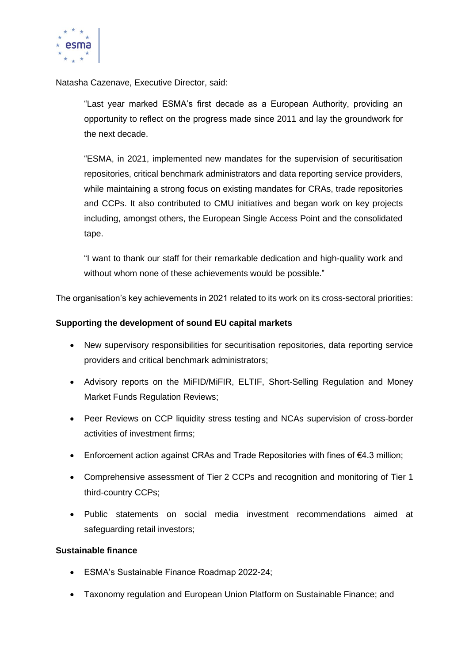

Natasha Cazenave, Executive Director, said:

"Last year marked ESMA's first decade as a European Authority, providing an opportunity to reflect on the progress made since 2011 and lay the groundwork for the next decade.

"ESMA, in 2021, implemented new mandates for the supervision of securitisation repositories, critical benchmark administrators and data reporting service providers, while maintaining a strong focus on existing mandates for CRAs, trade repositories and CCPs. It also contributed to CMU initiatives and began work on key projects including, amongst others, the European Single Access Point and the consolidated tape.

"I want to thank our staff for their remarkable dedication and high-quality work and without whom none of these achievements would be possible."

The organisation's key achievements in 2021 related to its work on its cross-sectoral priorities:

### **Supporting the development of sound EU capital markets**

- New supervisory responsibilities for securitisation repositories, data reporting service providers and critical benchmark administrators;
- Advisory reports on the MiFID/MiFIR, ELTIF, Short-Selling Regulation and Money Market Funds Regulation Reviews;
- Peer Reviews on CCP liquidity stress testing and NCAs supervision of cross-border activities of investment firms;
- Enforcement action against CRAs and Trade Repositories with fines of €4.3 million;
- Comprehensive assessment of Tier 2 CCPs and recognition and monitoring of Tier 1 third-country CCPs;
- Public statements on social media investment recommendations aimed at safeguarding retail investors;

### **Sustainable finance**

- ESMA's Sustainable Finance Roadmap 2022-24;
- Taxonomy regulation and European Union Platform on Sustainable Finance; and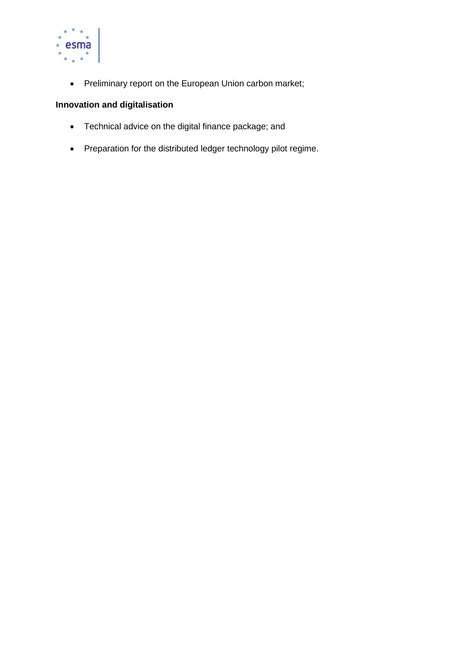

• Preliminary report on the European Union carbon market;

## **Innovation and digitalisation**

- Technical advice on the digital finance package; and
- Preparation for the distributed ledger technology pilot regime.